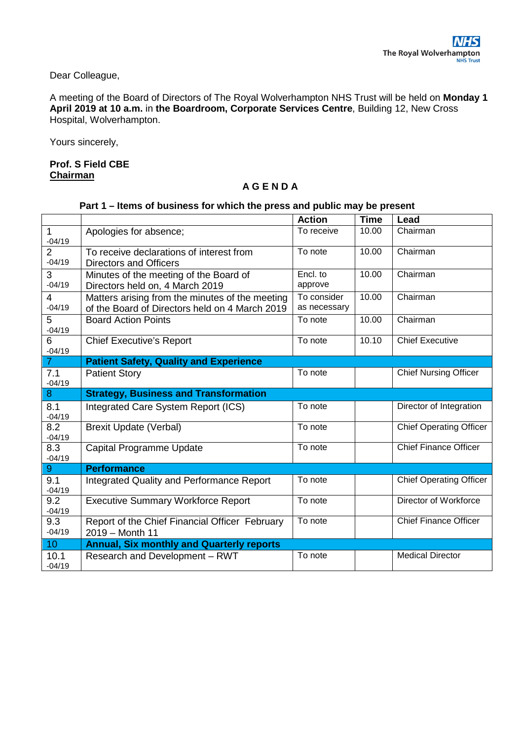Dear Colleague,

A meeting of the Board of Directors of The Royal Wolverhampton NHS Trust will be held on **Monday 1 April 2019 at 10 a.m.** in **the Boardroom, Corporate Services Centre**, Building 12, New Cross Hospital, Wolverhampton.

Yours sincerely,

## **Prof. S Field CBE Chairman**

## **A G E N D A**

## **Part 1 – Items of business for which the press and public may be present**

|                             |                                                                                                   | <b>Action</b>               | <b>Time</b> | Lead                           |
|-----------------------------|---------------------------------------------------------------------------------------------------|-----------------------------|-------------|--------------------------------|
|                             | Apologies for absence;                                                                            | To receive                  | 10.00       | Chairman                       |
| $-04/19$<br>$\overline{2}$  | To receive declarations of interest from                                                          | To note                     | 10.00       | Chairman                       |
| $-04/19$                    | <b>Directors and Officers</b>                                                                     |                             |             |                                |
| 3<br>$-04/19$               | Minutes of the meeting of the Board of<br>Directors held on, 4 March 2019                         | Encl. to<br>approve         | 10.00       | Chairman                       |
| 4<br>$-04/19$               | Matters arising from the minutes of the meeting<br>of the Board of Directors held on 4 March 2019 | To consider<br>as necessary | 10.00       | Chairman                       |
| $5\phantom{.0}$<br>$-04/19$ | <b>Board Action Points</b>                                                                        | To note                     | 10.00       | Chairman                       |
| 6<br>$-04/19$               | <b>Chief Executive's Report</b>                                                                   | To note                     | 10.10       | <b>Chief Executive</b>         |
| $\overline{7}$              | <b>Patient Safety, Quality and Experience</b>                                                     |                             |             |                                |
| 7.1<br>$-04/19$             | <b>Patient Story</b>                                                                              | To note                     |             | <b>Chief Nursing Officer</b>   |
| 8                           | <b>Strategy, Business and Transformation</b>                                                      |                             |             |                                |
| 8.1<br>$-04/19$             | Integrated Care System Report (ICS)                                                               | To note                     |             | Director of Integration        |
| 8.2<br>$-04/19$             | <b>Brexit Update (Verbal)</b>                                                                     | To note                     |             | <b>Chief Operating Officer</b> |
| 8.3<br>$-04/19$             | Capital Programme Update                                                                          | To note                     |             | <b>Chief Finance Officer</b>   |
| 9                           | <b>Performance</b>                                                                                |                             |             |                                |
| 9.1<br>$-04/19$             | Integrated Quality and Performance Report                                                         | To note                     |             | <b>Chief Operating Officer</b> |
| 9.2<br>$-04/19$             | <b>Executive Summary Workforce Report</b>                                                         | To note                     |             | Director of Workforce          |
| 9.3<br>$-04/19$             | Report of the Chief Financial Officer February<br>2019 - Month 11                                 | To note                     |             | <b>Chief Finance Officer</b>   |
| 10                          | <b>Annual, Six monthly and Quarterly reports</b>                                                  |                             |             |                                |
| 10.1<br>$-04/19$            | Research and Development - RWT                                                                    | To note                     |             | <b>Medical Director</b>        |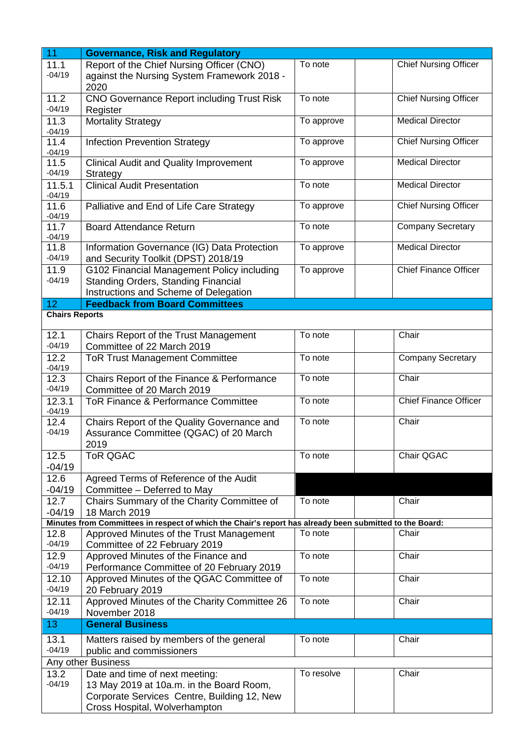| 11                    | <b>Governance, Risk and Regulatory</b>                                                                  |            |                              |  |  |  |  |  |  |
|-----------------------|---------------------------------------------------------------------------------------------------------|------------|------------------------------|--|--|--|--|--|--|
| 11.1                  | Report of the Chief Nursing Officer (CNO)                                                               | To note    | <b>Chief Nursing Officer</b> |  |  |  |  |  |  |
| $-04/19$              | against the Nursing System Framework 2018 -<br>2020                                                     |            |                              |  |  |  |  |  |  |
| 11.2                  | <b>CNO Governance Report including Trust Risk</b>                                                       | To note    | <b>Chief Nursing Officer</b> |  |  |  |  |  |  |
| $-04/19$              | Register                                                                                                |            |                              |  |  |  |  |  |  |
| 11.3                  | <b>Mortality Strategy</b>                                                                               | To approve | <b>Medical Director</b>      |  |  |  |  |  |  |
| $-04/19$              |                                                                                                         |            |                              |  |  |  |  |  |  |
| 11.4                  | <b>Infection Prevention Strategy</b>                                                                    | To approve | Chief Nursing Officer        |  |  |  |  |  |  |
| $-04/19$              |                                                                                                         |            |                              |  |  |  |  |  |  |
| 11.5                  | <b>Clinical Audit and Quality Improvement</b>                                                           | To approve | <b>Medical Director</b>      |  |  |  |  |  |  |
| $-04/19$              | Strategy                                                                                                |            |                              |  |  |  |  |  |  |
| 11.5.1                | <b>Clinical Audit Presentation</b>                                                                      | To note    | <b>Medical Director</b>      |  |  |  |  |  |  |
| $-04/19$              |                                                                                                         |            |                              |  |  |  |  |  |  |
| 11.6                  | Palliative and End of Life Care Strategy                                                                | To approve | <b>Chief Nursing Officer</b> |  |  |  |  |  |  |
| $-04/19$              |                                                                                                         |            |                              |  |  |  |  |  |  |
| 11.7<br>$-04/19$      | <b>Board Attendance Return</b>                                                                          | To note    | <b>Company Secretary</b>     |  |  |  |  |  |  |
| 11.8                  | Information Governance (IG) Data Protection                                                             | To approve | <b>Medical Director</b>      |  |  |  |  |  |  |
| $-04/19$              | and Security Toolkit (DPST) 2018/19                                                                     |            |                              |  |  |  |  |  |  |
| 11.9                  | G102 Financial Management Policy including                                                              | To approve | <b>Chief Finance Officer</b> |  |  |  |  |  |  |
| $-04/19$              | <b>Standing Orders, Standing Financial</b>                                                              |            |                              |  |  |  |  |  |  |
|                       | Instructions and Scheme of Delegation                                                                   |            |                              |  |  |  |  |  |  |
| 12 <sub>2</sub>       | <b>Feedback from Board Committees</b>                                                                   |            |                              |  |  |  |  |  |  |
| <b>Chairs Reports</b> |                                                                                                         |            |                              |  |  |  |  |  |  |
|                       |                                                                                                         |            |                              |  |  |  |  |  |  |
| 12.1                  | Chairs Report of the Trust Management                                                                   | To note    | Chair                        |  |  |  |  |  |  |
| $-04/19$              | Committee of 22 March 2019                                                                              |            |                              |  |  |  |  |  |  |
| 12.2                  | <b>ToR Trust Management Committee</b>                                                                   | To note    | <b>Company Secretary</b>     |  |  |  |  |  |  |
| $-04/19$              |                                                                                                         |            |                              |  |  |  |  |  |  |
| 12.3<br>$-04/19$      | Chairs Report of the Finance & Performance                                                              | To note    | Chair                        |  |  |  |  |  |  |
|                       | Committee of 20 March 2019                                                                              | To note    |                              |  |  |  |  |  |  |
| 12.3.1<br>$-04/19$    | <b>ToR Finance &amp; Performance Committee</b>                                                          |            | <b>Chief Finance Officer</b> |  |  |  |  |  |  |
| 12.4                  | Chairs Report of the Quality Governance and                                                             | To note    | Chair                        |  |  |  |  |  |  |
| $-04/19$              | Assurance Committee (QGAC) of 20 March                                                                  |            |                              |  |  |  |  |  |  |
|                       | 2019                                                                                                    |            |                              |  |  |  |  |  |  |
| 12.5                  | <b>ToR QGAC</b>                                                                                         | To note    | Chair QGAC                   |  |  |  |  |  |  |
| $-04/19$              |                                                                                                         |            |                              |  |  |  |  |  |  |
| 12.6                  | Agreed Terms of Reference of the Audit                                                                  |            |                              |  |  |  |  |  |  |
| $-04/19$              | Committee - Deferred to May                                                                             |            |                              |  |  |  |  |  |  |
| 12.7                  | Chairs Summary of the Charity Committee of                                                              | To note    | Chair                        |  |  |  |  |  |  |
| $-04/19$              | 18 March 2019                                                                                           |            |                              |  |  |  |  |  |  |
|                       | Minutes from Committees in respect of which the Chair's report has already been submitted to the Board: |            |                              |  |  |  |  |  |  |
| 12.8                  | Approved Minutes of the Trust Management                                                                | To note    | Chair                        |  |  |  |  |  |  |
| $-04/19$              | Committee of 22 February 2019                                                                           |            |                              |  |  |  |  |  |  |
| 12.9                  | Approved Minutes of the Finance and                                                                     | To note    | Chair                        |  |  |  |  |  |  |
| $-04/19$              | Performance Committee of 20 February 2019                                                               |            |                              |  |  |  |  |  |  |
| 12.10                 | Approved Minutes of the QGAC Committee of                                                               | To note    | Chair                        |  |  |  |  |  |  |
| $-04/19$              | 20 February 2019                                                                                        |            |                              |  |  |  |  |  |  |
| 12.11                 | Approved Minutes of the Charity Committee 26                                                            | To note    | Chair                        |  |  |  |  |  |  |
| $-04/19$              | November 2018                                                                                           |            |                              |  |  |  |  |  |  |
| 13                    | <b>General Business</b>                                                                                 |            |                              |  |  |  |  |  |  |
| 13.1                  | Matters raised by members of the general                                                                | To note    | Chair                        |  |  |  |  |  |  |
| $-04/19$              | public and commissioners                                                                                |            |                              |  |  |  |  |  |  |
| Any other Business    |                                                                                                         |            |                              |  |  |  |  |  |  |
| 13.2                  | Date and time of next meeting:                                                                          | To resolve | Chair                        |  |  |  |  |  |  |
| $-04/19$              | 13 May 2019 at 10a.m. in the Board Room,                                                                |            |                              |  |  |  |  |  |  |
|                       | Corporate Services Centre, Building 12, New                                                             |            |                              |  |  |  |  |  |  |
|                       | Cross Hospital, Wolverhampton                                                                           |            |                              |  |  |  |  |  |  |